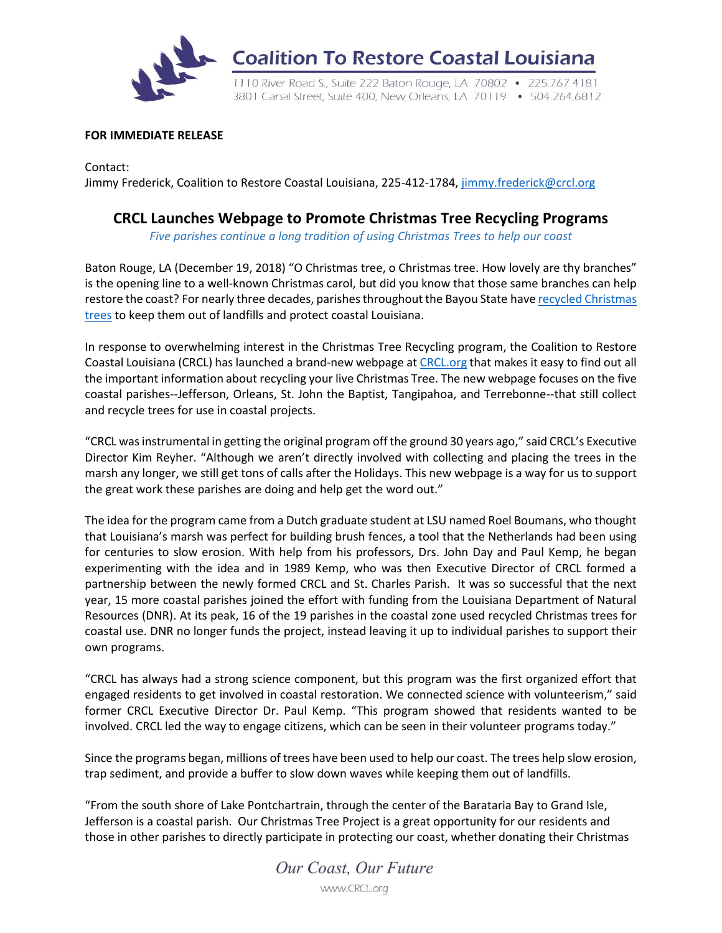

**Coalition To Restore Coastal Louisiana** 

1110 River Road S., Suite 222 Baton Rouge, LA 70802 . 225.767.4181 3801 Canal Street, Suite 400, New Orleans, LA 70119 • 504.264.6812

## **FOR IMMEDIATE RELEASE**

Contact: Jimmy Frederick, Coalition to Restore Coastal Louisiana, 225-412-1784, [jimmy.frederick@crcl.org](mailto:jimmy.frederick@crcl.org)

## **CRCL Launches Webpage to Promote Christmas Tree Recycling Programs**

*Five parishes continue a long tradition of using Christmas Trees to help our coast*

Baton Rouge, LA (December 19, 2018) "O Christmas tree, o Christmas tree. How lovely are thy branches" is the opening line to a well-known Christmas carol, but did you know that those same branches can help restore the coast? For nearly three decades, parishes throughout the Bayou State have recycled [Christmas](https://www.crcl.org/christmas-tree-recycling) [trees](https://www.crcl.org/christmas-tree-recycling) to keep them out of landfills and protect coastal Louisiana.

In response to overwhelming interest in the Christmas Tree Recycling program, the Coalition to Restore Coastal Louisiana (CRCL) has launched a brand-new webpage at [CRCL.org](https://www.crcl.org/christmas-tree-recycling) that makes it easy to find out all the important information about recycling your live Christmas Tree. The new webpage focuses on the five coastal parishes--Jefferson, Orleans, St. John the Baptist, Tangipahoa, and Terrebonne--that still collect and recycle trees for use in coastal projects.

"CRCL was instrumental in getting the original program off the ground 30 years ago," said CRCL's Executive Director Kim Reyher. "Although we aren't directly involved with collecting and placing the trees in the marsh any longer, we still get tons of calls after the Holidays. This new webpage is a way for us to support the great work these parishes are doing and help get the word out."

The idea for the program came from a Dutch graduate student at LSU named Roel Boumans, who thought that Louisiana's marsh was perfect for building brush fences, a tool that the Netherlands had been using for centuries to slow erosion. With help from his professors, Drs. John Day and Paul Kemp, he began experimenting with the idea and in 1989 Kemp, who was then Executive Director of CRCL formed a partnership between the newly formed CRCL and St. Charles Parish. It was so successful that the next year, 15 more coastal parishes joined the effort with funding from the Louisiana Department of Natural Resources (DNR). At its peak, 16 of the 19 parishes in the coastal zone used recycled Christmas trees for coastal use. DNR no longer funds the project, instead leaving it up to individual parishes to support their own programs.

"CRCL has always had a strong science component, but this program was the first organized effort that engaged residents to get involved in coastal restoration. We connected science with volunteerism," said former CRCL Executive Director Dr. Paul Kemp. "This program showed that residents wanted to be involved. CRCL led the way to engage citizens, which can be seen in their volunteer programs today."

Since the programs began, millions of trees have been used to help our coast. The trees help slow erosion, trap sediment, and provide a buffer to slow down waves while keeping them out of landfills.

"From the south shore of Lake Pontchartrain, through the center of the Barataria Bay to Grand Isle, Jefferson is a coastal parish. Our Christmas Tree Project is a great opportunity for our residents and those in other parishes to directly participate in protecting our coast, whether donating their Christmas

> Our Coast, Our Future www.CRCL.org